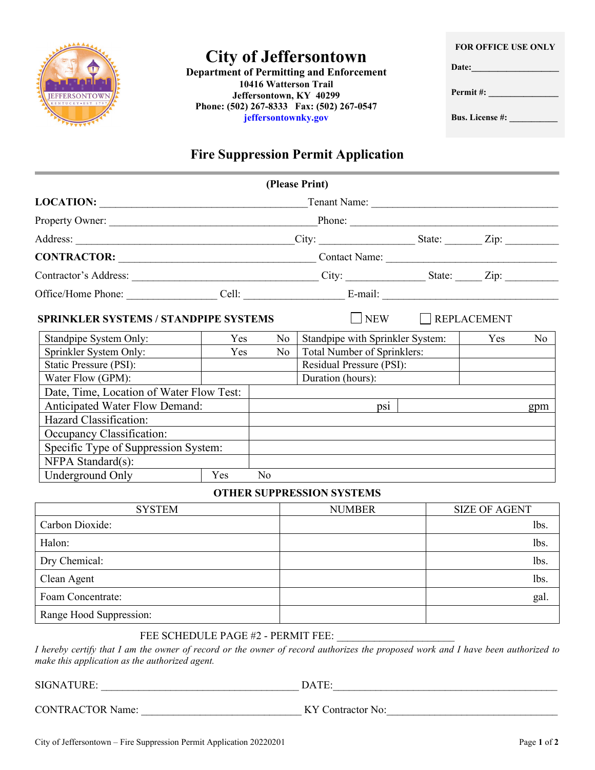

# **City of Jeffersontown**

**Department of Permitting and Enforcement 10416 Watterson Trail Jeffersontown, KY 40299 Phone: (502) 267-8333 Fax: (502) 267-0547 jeffersontownky.gov**

**FOR OFFICE USE ONLY**

**Date:\_\_\_\_\_\_\_\_\_\_\_\_\_\_\_\_\_\_\_\_**

**Permit #: \_\_\_\_\_\_\_\_\_\_\_\_\_\_\_\_** 

**Bus. License #: \_\_\_\_\_\_\_\_\_\_\_**

### **Fire Suppression Permit Application**

| (Please Print)                                                                                                                                                                                                                 |     |     |                                  |                        |     |                |  |  |
|--------------------------------------------------------------------------------------------------------------------------------------------------------------------------------------------------------------------------------|-----|-----|----------------------------------|------------------------|-----|----------------|--|--|
|                                                                                                                                                                                                                                |     |     |                                  |                        |     |                |  |  |
| Property Owner: New York Changes and Changes and Changes and Changes and Changes and Changes and Changes and Changes and Changes and Changes and Changes and Changes and Changes and Changes and Changes and Changes and Chang |     |     | Phone:                           |                        |     |                |  |  |
|                                                                                                                                                                                                                                |     |     |                                  |                        |     |                |  |  |
|                                                                                                                                                                                                                                |     |     | Contact Name:                    |                        |     |                |  |  |
|                                                                                                                                                                                                                                |     |     |                                  |                        |     |                |  |  |
| Office/Home Phone: Cell: Cell: E-mail: E-mail:                                                                                                                                                                                 |     |     |                                  |                        |     |                |  |  |
| <b>SPRINKLER SYSTEMS / STANDPIPE SYSTEMS</b>                                                                                                                                                                                   |     |     |                                  | $\Box$ NEW REPLACEMENT |     |                |  |  |
| Standpipe System Only:                                                                                                                                                                                                         | Yes | No  | Standpipe with Sprinkler System: |                        | Yes | N <sub>0</sub> |  |  |
| Sprinkler System Only:                                                                                                                                                                                                         | Yes | No. | Total Number of Sprinklers:      |                        |     |                |  |  |
| Static Pressure (PSI):                                                                                                                                                                                                         |     |     | Residual Pressure (PSI):         |                        |     |                |  |  |
| Water Flow (GPM):                                                                                                                                                                                                              |     |     | Duration (hours):                |                        |     |                |  |  |
| Date, Time, Location of Water Flow Test:                                                                                                                                                                                       |     |     |                                  |                        |     |                |  |  |
| <b>Anticipated Water Flow Demand:</b>                                                                                                                                                                                          |     |     | $p_{S1}$                         |                        |     | gpm            |  |  |
| Hazard Classification:                                                                                                                                                                                                         |     |     |                                  |                        |     |                |  |  |
| Occupancy Classification:                                                                                                                                                                                                      |     |     |                                  |                        |     |                |  |  |
| Specific Type of Suppression System:                                                                                                                                                                                           |     |     |                                  |                        |     |                |  |  |
| NFPA Standard(s):                                                                                                                                                                                                              |     |     |                                  |                        |     |                |  |  |
| Underground Only                                                                                                                                                                                                               | Yes | No  |                                  |                        |     |                |  |  |
| <b>OTHER SUPPRESSION SYSTEMS</b>                                                                                                                                                                                               |     |     |                                  |                        |     |                |  |  |
|                                                                                                                                                                                                                                |     |     |                                  |                        |     |                |  |  |

| <b>SYSTEM</b>           | <b>NUMBER</b> | <b>SIZE OF AGENT</b> |
|-------------------------|---------------|----------------------|
| Carbon Dioxide:         |               | lbs.                 |
| Halon:                  |               | lbs.                 |
| Dry Chemical:           |               | lbs.                 |
| Clean Agent             |               | lbs.                 |
| Foam Concentrate:       |               | gal.                 |
| Range Hood Suppression: |               |                      |

#### FEE SCHEDULE PAGE #2 - PERMIT FEE:

*I hereby certify that I am the owner of record or the owner of record authorizes the proposed work and I have been authorized to make this application as the authorized agent.*

SIGNATURE: \_\_\_\_\_\_\_\_\_\_\_\_\_\_\_\_\_\_\_\_\_\_\_\_\_\_\_\_\_\_\_\_\_\_\_\_\_ DATE:\_\_\_\_\_\_\_\_\_\_\_\_\_\_\_\_\_\_\_\_\_\_\_\_\_\_\_\_\_\_\_\_\_\_\_\_\_\_\_\_\_\_

CONTRACTOR Name: \_\_\_\_\_\_\_\_\_\_\_\_\_\_\_\_\_\_\_\_\_\_\_\_\_\_\_\_\_\_ KY Contractor No:\_\_\_\_\_\_\_\_\_\_\_\_\_\_\_\_\_\_\_\_\_\_\_\_\_\_\_\_\_\_\_\_